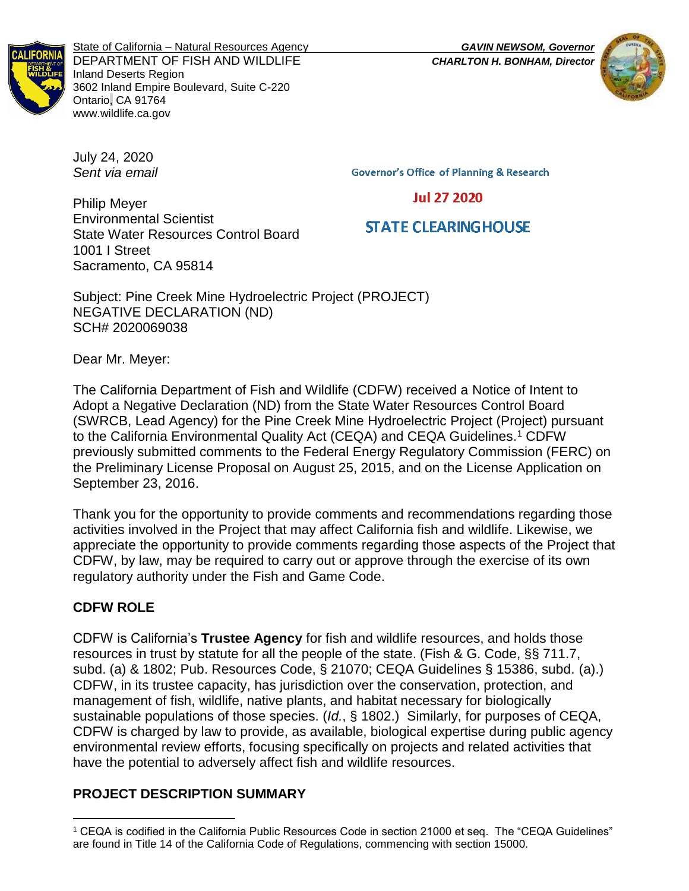

State of California – Natural Resources Agency *GAVIN NEWSOM, Governor* DEPARTMENT OF FISH AND WILDLIFE *CHARLTON H. BONHAM, Director* Inland Deserts Region 3602 Inland Empire Boulevard, Suite C-220 Ontario, CA 91764 www.wildlife.ca.gov



July 24, 2020 *Sent via email*

**Governor's Office of Planning & Research** 

**Jul 27 2020** 

# **STATE CLEARING HOUSE**

Philip Meyer Environmental Scientist State Water Resources Control Board 1001 I Street Sacramento, CA 95814

Subject: Pine Creek Mine Hydroelectric Project (PROJECT) NEGATIVE DECLARATION (ND) SCH# 2020069038

Dear Mr. Meyer:

The California Department of Fish and Wildlife (CDFW) received a Notice of Intent to Adopt a Negative Declaration (ND) from the State Water Resources Control Board (SWRCB, Lead Agency) for the Pine Creek Mine Hydroelectric Project (Project) pursuant to the California Environmental Quality Act (CEQA) and CEQA Guidelines.<sup>1</sup> CDFW previously submitted comments to the Federal Energy Regulatory Commission (FERC) on the Preliminary License Proposal on August 25, 2015, and on the License Application on September 23, 2016.

Thank you for the opportunity to provide comments and recommendations regarding those activities involved in the Project that may affect California fish and wildlife. Likewise, we appreciate the opportunity to provide comments regarding those aspects of the Project that CDFW, by law, may be required to carry out or approve through the exercise of its own regulatory authority under the Fish and Game Code.

## **CDFW ROLE**

l

CDFW is California's **Trustee Agency** for fish and wildlife resources, and holds those resources in trust by statute for all the people of the state. (Fish & G. Code, §§ 711.7, subd. (a) & 1802; Pub. Resources Code, § 21070; CEQA Guidelines § 15386, subd. (a).) CDFW, in its trustee capacity, has jurisdiction over the conservation, protection, and management of fish, wildlife, native plants, and habitat necessary for biologically sustainable populations of those species. (*Id.*, § 1802.) Similarly, for purposes of CEQA, CDFW is charged by law to provide, as available, biological expertise during public agency environmental review efforts, focusing specifically on projects and related activities that have the potential to adversely affect fish and wildlife resources.

## **PROJECT DESCRIPTION SUMMARY**

<sup>1</sup> CEQA is codified in the California Public Resources Code in section 21000 et seq. The "CEQA Guidelines" are found in Title 14 of the California Code of Regulations, commencing with section 15000.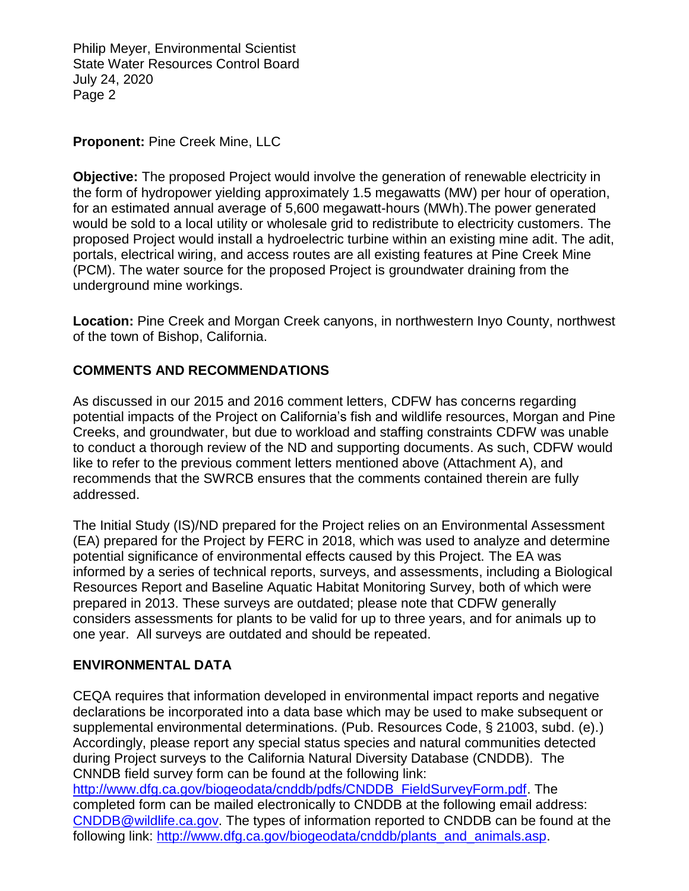Philip Meyer, Environmental Scientist State Water Resources Control Board July 24, 2020 Page 2

#### **Proponent:** Pine Creek Mine, LLC

**Objective:** The proposed Project would involve the generation of renewable electricity in the form of hydropower yielding approximately 1.5 megawatts (MW) per hour of operation, for an estimated annual average of 5,600 megawatt-hours (MWh).The power generated would be sold to a local utility or wholesale grid to redistribute to electricity customers. The proposed Project would install a hydroelectric turbine within an existing mine adit. The adit, portals, electrical wiring, and access routes are all existing features at Pine Creek Mine (PCM). The water source for the proposed Project is groundwater draining from the underground mine workings.

**Location:** Pine Creek and Morgan Creek canyons, in northwestern Inyo County, northwest of the town of Bishop, California.

## **COMMENTS AND RECOMMENDATIONS**

As discussed in our 2015 and 2016 comment letters, CDFW has concerns regarding potential impacts of the Project on California's fish and wildlife resources, Morgan and Pine Creeks, and groundwater, but due to workload and staffing constraints CDFW was unable to conduct a thorough review of the ND and supporting documents. As such, CDFW would like to refer to the previous comment letters mentioned above (Attachment A), and recommends that the SWRCB ensures that the comments contained therein are fully addressed.

The Initial Study (IS)/ND prepared for the Project relies on an Environmental Assessment (EA) prepared for the Project by FERC in 2018, which was used to analyze and determine potential significance of environmental effects caused by this Project. The EA was informed by a series of technical reports, surveys, and assessments, including a Biological Resources Report and Baseline Aquatic Habitat Monitoring Survey, both of which were prepared in 2013. These surveys are outdated; please note that CDFW generally considers assessments for plants to be valid for up to three years, and for animals up to one year. All surveys are outdated and should be repeated.

#### **ENVIRONMENTAL DATA**

CEQA requires that information developed in environmental impact reports and negative declarations be incorporated into a data base which may be used to make subsequent or supplemental environmental determinations. (Pub. Resources Code, § 21003, subd. (e).) Accordingly, please report any special status species and natural communities detected during Project surveys to the California Natural Diversity Database (CNDDB). The CNNDB field survey form can be found at the following link:

[http://www.dfg.ca.gov/biogeodata/cnddb/pdfs/CNDDB\\_FieldSurveyForm.pdf.](http://www.dfg.ca.gov/biogeodata/cnddb/pdfs/CNDDB_FieldSurveyForm.pdf) The completed form can be mailed electronically to CNDDB at the following email address: [CNDDB@wildlife.ca.gov.](mailto:cnddb@dfg.ca.gov) The types of information reported to CNDDB can be found at the following link: [http://www.dfg.ca.gov/biogeodata/cnddb/plants\\_and\\_animals.asp.](http://www.dfg.ca.gov/biogeodata/cnddb/plants_and_animals.asp)